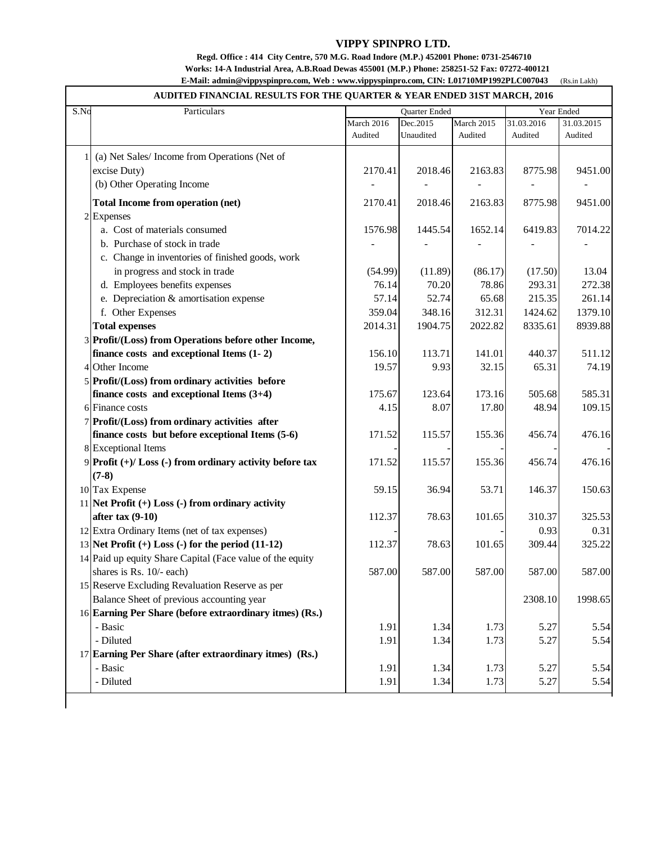## **VIPPY SPINPRO LTD.**

## **Regd. Office : 414 City Centre, 570 M.G. Road Indore (M.P.) 452001 Phone: 0731-2546710 Works: 14-A Industrial Area, A.B.Road Dewas 455001 (M.P.) Phone: 258251-52 Fax: 07272-400121**

(Rs.in Lakh)  **E-Mail: admin@vippyspinpro.com, Web : [www.vippyspinpro.com,](http://www.vippyspinpro.com,) CIN: L01710MP1992PLC007043**

## **AUDITED FINANCIAL RESULTS FOR THE QUARTER & YEAR ENDED 31ST MARCH, 2016**

| S.No | Particulars                                                  | Quarter Ended |           |            | Year Ended |            |
|------|--------------------------------------------------------------|---------------|-----------|------------|------------|------------|
|      |                                                              | March 2016    | Dec.2015  | March 2015 | 31.03.2016 | 31.03.2015 |
|      |                                                              | Audited       | Unaudited | Audited    | Audited    | Audited    |
|      | (a) Net Sales/Income from Operations (Net of                 |               |           |            |            |            |
|      | excise Duty)                                                 | 2170.41       | 2018.46   | 2163.83    | 8775.98    | 9451.00    |
|      | (b) Other Operating Income                                   |               |           |            |            |            |
|      | <b>Total Income from operation (net)</b>                     | 2170.41       | 2018.46   | 2163.83    | 8775.98    | 9451.00    |
|      | 2 Expenses                                                   |               |           |            |            |            |
|      | a. Cost of materials consumed                                | 1576.98       | 1445.54   | 1652.14    | 6419.83    | 7014.22    |
|      | b. Purchase of stock in trade                                |               |           |            |            |            |
|      | c. Change in inventories of finished goods, work             |               |           |            |            |            |
|      | in progress and stock in trade                               | (54.99)       | (11.89)   | (86.17)    | (17.50)    | 13.04      |
|      | d. Employees benefits expenses                               | 76.14         | 70.20     | 78.86      | 293.31     | 272.38     |
|      | e. Depreciation & amortisation expense                       | 57.14         | 52.74     | 65.68      | 215.35     | 261.14     |
|      | f. Other Expenses                                            | 359.04        | 348.16    | 312.31     | 1424.62    | 1379.10    |
|      | <b>Total expenses</b>                                        | 2014.31       | 1904.75   | 2022.82    | 8335.61    | 8939.88    |
|      | 3 Profit/(Loss) from Operations before other Income,         |               |           |            |            |            |
|      | finance costs and exceptional Items $(1 - 2)$                | 156.10        | 113.71    | 141.01     | 440.37     | 511.12     |
|      | 4 Other Income                                               | 19.57         | 9.93      | 32.15      | 65.31      | 74.19      |
|      | 5 Profit/(Loss) from ordinary activities before              |               |           |            |            |            |
|      | finance costs and exceptional Items $(3+4)$                  | 175.67        | 123.64    | 173.16     | 505.68     | 585.31     |
|      | 6 Finance costs                                              | 4.15          | 8.07      | 17.80      | 48.94      | 109.15     |
|      | 7 Profit/(Loss) from ordinary activities after               |               |           |            |            |            |
|      | finance costs but before exceptional Items (5-6)             | 171.52        | 115.57    | 155.36     | 456.74     | 476.16     |
|      | 8 Exceptional Items                                          |               |           |            |            |            |
|      | 9 Profit $(+)/$ Loss $(-)$ from ordinary activity before tax | 171.52        | 115.57    | 155.36     | 456.74     | 476.16     |
|      | $(7-8)$                                                      |               |           |            |            |            |
|      | 10 Tax Expense                                               | 59.15         | 36.94     | 53.71      | 146.37     | 150.63     |
|      | 11 Net Profit $(+)$ Loss $(-)$ from ordinary activity        |               |           |            |            |            |
|      | after tax $(9-10)$                                           | 112.37        | 78.63     | 101.65     | 310.37     | 325.53     |
|      | 12 Extra Ordinary Items (net of tax expenses)                |               |           |            | 0.93       | 0.31       |
|      | 13 Net Profit $(+)$ Loss $(-)$ for the period $(11-12)$      | 112.37        | 78.63     | 101.65     | 309.44     | 325.22     |
|      | 14 Paid up equity Share Capital (Face value of the equity    |               |           |            |            |            |
|      | shares is Rs. 10/- each)                                     | 587.00        | 587.00    | 587.00     | 587.00     | 587.00     |
|      | 15 Reserve Excluding Revaluation Reserve as per              |               |           |            |            |            |
|      | Balance Sheet of previous accounting year                    |               |           |            | 2308.10    | 1998.65    |
|      | 16 Earning Per Share (before extraordinary itmes) (Rs.)      |               |           |            |            |            |
|      | - Basic                                                      | 1.91          | 1.34      | 1.73       | 5.27       | 5.54       |
|      | - Diluted                                                    | 1.91          | 1.34      | 1.73       | 5.27       | 5.54       |
|      | 17 Earning Per Share (after extraordinary itmes) (Rs.)       |               |           |            |            |            |
|      | - Basic                                                      | 1.91          | 1.34      | 1.73       | 5.27       | 5.54       |
|      | - Diluted                                                    | 1.91          | 1.34      | 1.73       | 5.27       | 5.54       |